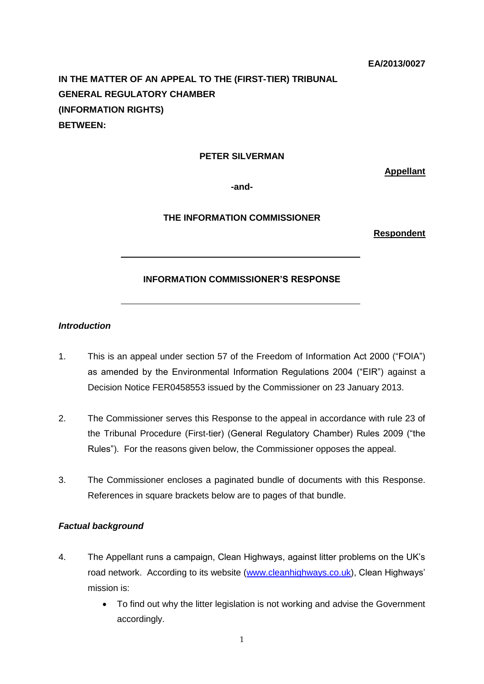**IN THE MATTER OF AN APPEAL TO THE (FIRST-TIER) TRIBUNAL GENERAL REGULATORY CHAMBER (INFORMATION RIGHTS) BETWEEN:**

# **PETER SILVERMAN**

**Appellant**

**-and-**

### **THE INFORMATION COMMISSIONER**

**Respondent**

#### **INFORMATION COMMISSIONER'S RESPONSE**

# *Introduction*

- 1. This is an appeal under section 57 of the Freedom of Information Act 2000 ("FOIA") as amended by the Environmental Information Regulations 2004 ("EIR") against a Decision Notice FER0458553 issued by the Commissioner on 23 January 2013.
- 2. The Commissioner serves this Response to the appeal in accordance with rule 23 of the Tribunal Procedure (First-tier) (General Regulatory Chamber) Rules 2009 ("the Rules"). For the reasons given below, the Commissioner opposes the appeal.
- 3. The Commissioner encloses a paginated bundle of documents with this Response. References in square brackets below are to pages of that bundle.

#### *Factual background*

- 4. The Appellant runs a campaign, Clean Highways, against litter problems on the UK's road network. According to its website [\(www.cleanhighways.co.uk\)](http://www.cleanhighways.co.uk/), Clean Highways' mission is:
	- To find out why the litter legislation is not working and advise the Government accordingly.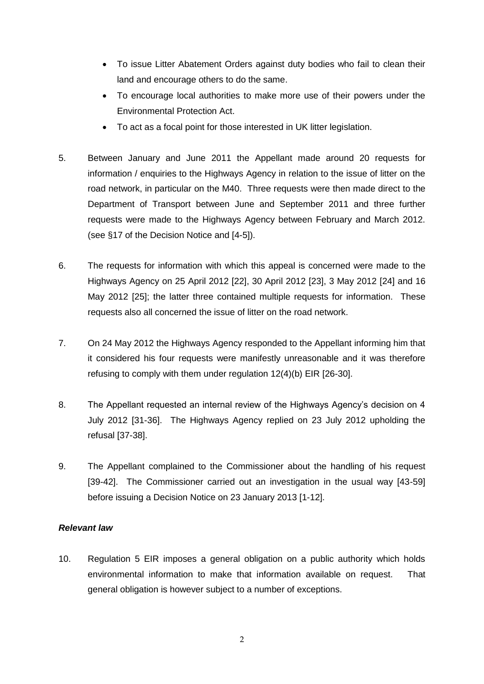- To issue Litter Abatement Orders against duty bodies who fail to clean their land and encourage others to do the same.
- To encourage local authorities to make more use of their powers under the Environmental Protection Act.
- To act as a focal point for those interested in UK litter legislation.
- 5. Between January and June 2011 the Appellant made around 20 requests for information / enquiries to the Highways Agency in relation to the issue of litter on the road network, in particular on the M40. Three requests were then made direct to the Department of Transport between June and September 2011 and three further requests were made to the Highways Agency between February and March 2012. (see §17 of the Decision Notice and [4-5]).
- 6. The requests for information with which this appeal is concerned were made to the Highways Agency on 25 April 2012 [22], 30 April 2012 [23], 3 May 2012 [24] and 16 May 2012 [25]; the latter three contained multiple requests for information. These requests also all concerned the issue of litter on the road network.
- 7. On 24 May 2012 the Highways Agency responded to the Appellant informing him that it considered his four requests were manifestly unreasonable and it was therefore refusing to comply with them under regulation 12(4)(b) EIR [26-30].
- 8. The Appellant requested an internal review of the Highways Agency's decision on 4 July 2012 [31-36]. The Highways Agency replied on 23 July 2012 upholding the refusal [37-38].
- 9. The Appellant complained to the Commissioner about the handling of his request [39-42]. The Commissioner carried out an investigation in the usual way [43-59] before issuing a Decision Notice on 23 January 2013 [1-12].

# *Relevant law*

10. Regulation 5 EIR imposes a general obligation on a public authority which holds environmental information to make that information available on request. That general obligation is however subject to a number of exceptions.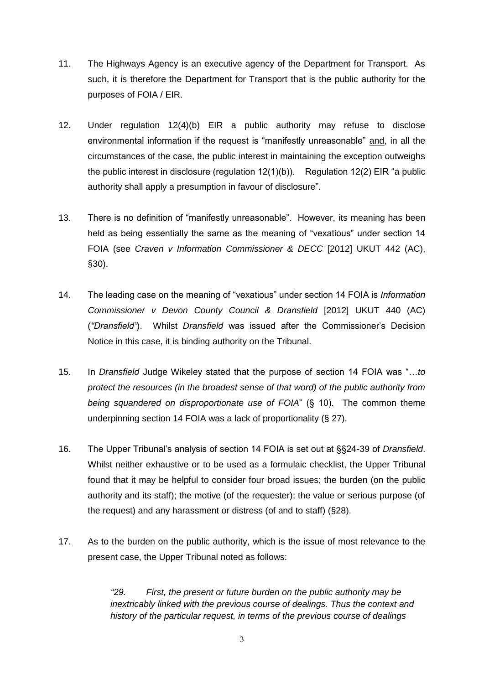- 11. The Highways Agency is an executive agency of the Department for Transport. As such, it is therefore the Department for Transport that is the public authority for the purposes of FOIA / EIR.
- 12. Under regulation 12(4)(b) EIR a public authority may refuse to disclose environmental information if the request is "manifestly unreasonable" and, in all the circumstances of the case, the public interest in maintaining the exception outweighs the public interest in disclosure (regulation  $12(1)(b)$ ). Regulation  $12(2)$  EIR "a public authority shall apply a presumption in favour of disclosure".
- 13. There is no definition of "manifestly unreasonable". However, its meaning has been held as being essentially the same as the meaning of "vexatious" under section 14 FOIA (see *Craven v Information Commissioner & DECC* [2012] UKUT 442 (AC), §30).
- 14. The leading case on the meaning of "vexatious" under section 14 FOIA is *Information Commissioner v Devon County Council & Dransfield* [2012] UKUT 440 (AC) (*"Dransfield"*). Whilst *Dransfield* was issued after the Commissioner's Decision Notice in this case, it is binding authority on the Tribunal.
- 15. In *Dransfield* Judge Wikeley stated that the purpose of section 14 FOIA was "…*to protect the resources (in the broadest sense of that word) of the public authority from being squandered on disproportionate use of FOIA*" (§ 10). The common theme underpinning section 14 FOIA was a lack of proportionality (§ 27).
- 16. The Upper Tribunal's analysis of section 14 FOIA is set out at §§24-39 of *Dransfield*. Whilst neither exhaustive or to be used as a formulaic checklist, the Upper Tribunal found that it may be helpful to consider four broad issues; the burden (on the public authority and its staff); the motive (of the requester); the value or serious purpose (of the request) and any harassment or distress (of and to staff) (§28).
- 17. As to the burden on the public authority, which is the issue of most relevance to the present case, the Upper Tribunal noted as follows:

*"29. First, the present or future burden on the public authority may be inextricably linked with the previous course of dealings. Thus the context and history of the particular request, in terms of the previous course of dealings*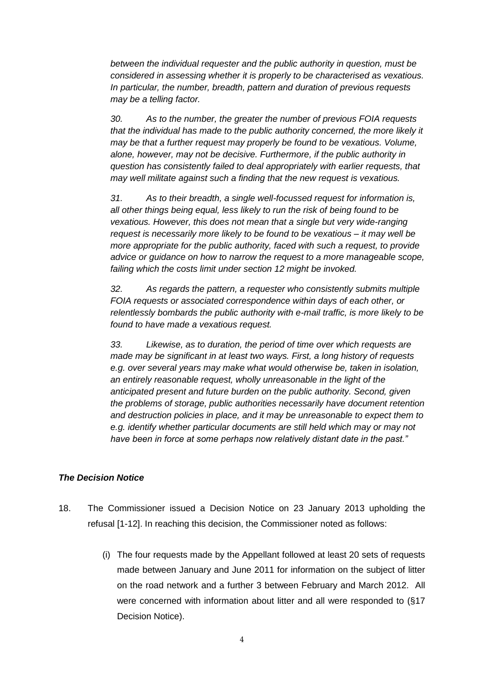*between the individual requester and the public authority in question, must be considered in assessing whether it is properly to be characterised as vexatious. In particular, the number, breadth, pattern and duration of previous requests may be a telling factor.* 

*30. As to the number, the greater the number of previous FOIA requests that the individual has made to the public authority concerned, the more likely it may be that a further request may properly be found to be vexatious. Volume, alone, however, may not be decisive. Furthermore, if the public authority in question has consistently failed to deal appropriately with earlier requests, that may well militate against such a finding that the new request is vexatious.* 

*31. As to their breadth, a single well-focussed request for information is, all other things being equal, less likely to run the risk of being found to be vexatious. However, this does not mean that a single but very wide-ranging request is necessarily more likely to be found to be vexatious – it may well be more appropriate for the public authority, faced with such a request, to provide advice or guidance on how to narrow the request to a more manageable scope, failing which the costs limit under section 12 might be invoked.* 

*32. As regards the pattern, a requester who consistently submits multiple FOIA requests or associated correspondence within days of each other, or relentlessly bombards the public authority with e-mail traffic, is more likely to be found to have made a vexatious request.* 

*33. Likewise, as to duration, the period of time over which requests are made may be significant in at least two ways. First, a long history of requests e.g. over several years may make what would otherwise be, taken in isolation, an entirely reasonable request, wholly unreasonable in the light of the anticipated present and future burden on the public authority. Second, given the problems of storage, public authorities necessarily have document retention and destruction policies in place, and it may be unreasonable to expect them to e.g. identify whether particular documents are still held which may or may not have been in force at some perhaps now relatively distant date in the past."*

# *The Decision Notice*

- 18. The Commissioner issued a Decision Notice on 23 January 2013 upholding the refusal [1-12]. In reaching this decision, the Commissioner noted as follows:
	- (i) The four requests made by the Appellant followed at least 20 sets of requests made between January and June 2011 for information on the subject of litter on the road network and a further 3 between February and March 2012. All were concerned with information about litter and all were responded to (§17 Decision Notice).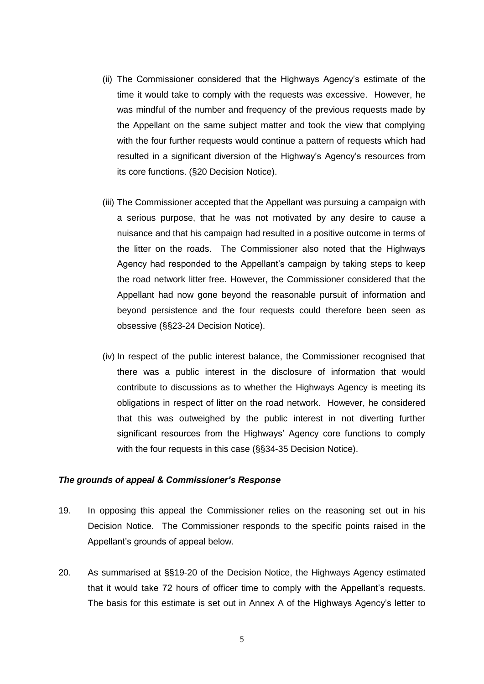- (ii) The Commissioner considered that the Highways Agency's estimate of the time it would take to comply with the requests was excessive. However, he was mindful of the number and frequency of the previous requests made by the Appellant on the same subject matter and took the view that complying with the four further requests would continue a pattern of requests which had resulted in a significant diversion of the Highway's Agency's resources from its core functions. (§20 Decision Notice).
- (iii) The Commissioner accepted that the Appellant was pursuing a campaign with a serious purpose, that he was not motivated by any desire to cause a nuisance and that his campaign had resulted in a positive outcome in terms of the litter on the roads. The Commissioner also noted that the Highways Agency had responded to the Appellant's campaign by taking steps to keep the road network litter free. However, the Commissioner considered that the Appellant had now gone beyond the reasonable pursuit of information and beyond persistence and the four requests could therefore been seen as obsessive (§§23-24 Decision Notice).
- (iv) In respect of the public interest balance, the Commissioner recognised that there was a public interest in the disclosure of information that would contribute to discussions as to whether the Highways Agency is meeting its obligations in respect of litter on the road network. However, he considered that this was outweighed by the public interest in not diverting further significant resources from the Highways' Agency core functions to comply with the four requests in this case (§§34-35 Decision Notice).

#### *The grounds of appeal & Commissioner's Response*

- 19. In opposing this appeal the Commissioner relies on the reasoning set out in his Decision Notice. The Commissioner responds to the specific points raised in the Appellant's grounds of appeal below.
- 20. As summarised at §§19-20 of the Decision Notice, the Highways Agency estimated that it would take 72 hours of officer time to comply with the Appellant's requests. The basis for this estimate is set out in Annex A of the Highways Agency's letter to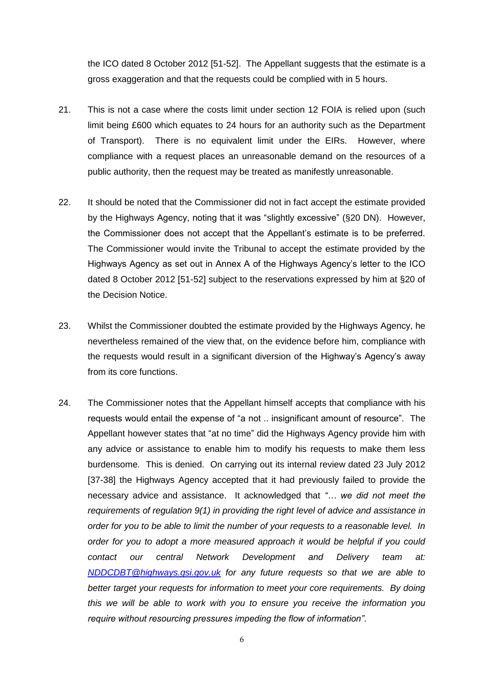the ICO dated 8 October 2012 [51-52]. The Appellant suggests that the estimate is a gross exaggeration and that the requests could be complied with in 5 hours.

- 21. This is not a case where the costs limit under section 12 FOIA is relied upon (such limit being £600 which equates to 24 hours for an authority such as the Department of Transport). There is no equivalent limit under the EIRs. However, where compliance with a request places an unreasonable demand on the resources of a public authority, then the request may be treated as manifestly unreasonable.
- 22. It should be noted that the Commissioner did not in fact accept the estimate provided by the Highways Agency, noting that it was "slightly excessive" (§20 DN). However, the Commissioner does not accept that the Appellant's estimate is to be preferred. The Commissioner would invite the Tribunal to accept the estimate provided by the Highways Agency as set out in Annex A of the Highways Agency's letter to the ICO dated 8 October 2012 [51-52] subject to the reservations expressed by him at §20 of the Decision Notice.
- 23. Whilst the Commissioner doubted the estimate provided by the Highways Agency, he nevertheless remained of the view that, on the evidence before him, compliance with the requests would result in a significant diversion of the Highway's Agency's away from its core functions.
- 24. The Commissioner notes that the Appellant himself accepts that compliance with his requests would entail the expense of "a not .. insignificant amount of resource". The Appellant however states that "at no time" did the Highways Agency provide him with any advice or assistance to enable him to modify his requests to make them less burdensome. This is denied. On carrying out its internal review dated 23 July 2012 [37-38] the Highways Agency accepted that it had previously failed to provide the necessary advice and assistance. It acknowledged that *"… we did not meet the requirements of regulation 9(1) in providing the right level of advice and assistance in order for you to be able to limit the number of your requests to a reasonable level. In order for you to adopt a more measured approach it would be helpful if you could contact our central Network Development and Delivery team at: [NDDCDBT@highways.gsi.gov.uk](mailto:NDDCDBT@highways.gsi.gov.uk) for any future requests so that we are able to better target your requests for information to meet your core requirements. By doing this we will be able to work with you to ensure you receive the information you require without resourcing pressures impeding the flow of information"*.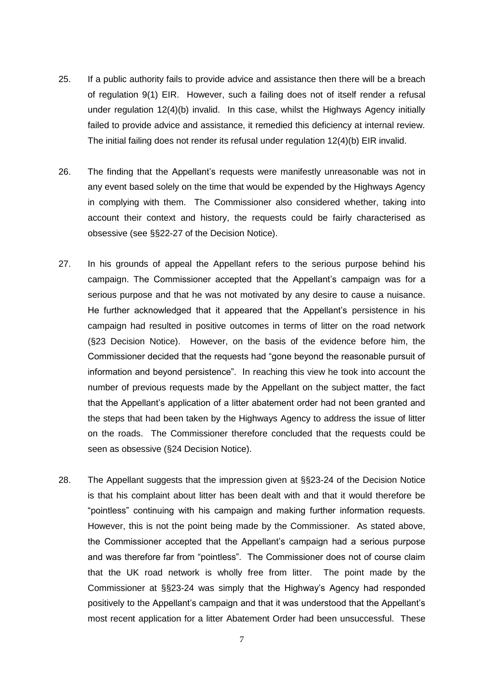- 25. If a public authority fails to provide advice and assistance then there will be a breach of regulation 9(1) EIR. However, such a failing does not of itself render a refusal under regulation 12(4)(b) invalid. In this case, whilst the Highways Agency initially failed to provide advice and assistance, it remedied this deficiency at internal review. The initial failing does not render its refusal under regulation 12(4)(b) EIR invalid.
- 26. The finding that the Appellant's requests were manifestly unreasonable was not in any event based solely on the time that would be expended by the Highways Agency in complying with them. The Commissioner also considered whether, taking into account their context and history, the requests could be fairly characterised as obsessive (see §§22-27 of the Decision Notice).
- 27. In his grounds of appeal the Appellant refers to the serious purpose behind his campaign. The Commissioner accepted that the Appellant's campaign was for a serious purpose and that he was not motivated by any desire to cause a nuisance. He further acknowledged that it appeared that the Appellant's persistence in his campaign had resulted in positive outcomes in terms of litter on the road network (§23 Decision Notice). However, on the basis of the evidence before him, the Commissioner decided that the requests had "gone beyond the reasonable pursuit of information and beyond persistence". In reaching this view he took into account the number of previous requests made by the Appellant on the subject matter, the fact that the Appellant's application of a litter abatement order had not been granted and the steps that had been taken by the Highways Agency to address the issue of litter on the roads. The Commissioner therefore concluded that the requests could be seen as obsessive (§24 Decision Notice).
- 28. The Appellant suggests that the impression given at §§23-24 of the Decision Notice is that his complaint about litter has been dealt with and that it would therefore be "pointless" continuing with his campaign and making further information requests. However, this is not the point being made by the Commissioner. As stated above, the Commissioner accepted that the Appellant's campaign had a serious purpose and was therefore far from "pointless". The Commissioner does not of course claim that the UK road network is wholly free from litter. The point made by the Commissioner at §§23-24 was simply that the Highway's Agency had responded positively to the Appellant's campaign and that it was understood that the Appellant's most recent application for a litter Abatement Order had been unsuccessful. These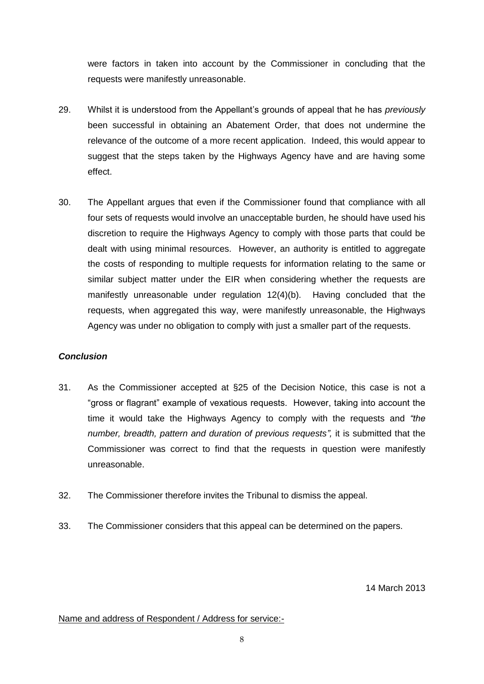were factors in taken into account by the Commissioner in concluding that the requests were manifestly unreasonable.

- 29. Whilst it is understood from the Appellant's grounds of appeal that he has *previously* been successful in obtaining an Abatement Order, that does not undermine the relevance of the outcome of a more recent application. Indeed, this would appear to suggest that the steps taken by the Highways Agency have and are having some effect.
- 30. The Appellant argues that even if the Commissioner found that compliance with all four sets of requests would involve an unacceptable burden, he should have used his discretion to require the Highways Agency to comply with those parts that could be dealt with using minimal resources. However, an authority is entitled to aggregate the costs of responding to multiple requests for information relating to the same or similar subject matter under the EIR when considering whether the requests are manifestly unreasonable under regulation 12(4)(b). Having concluded that the requests, when aggregated this way, were manifestly unreasonable, the Highways Agency was under no obligation to comply with just a smaller part of the requests.

# *Conclusion*

- 31. As the Commissioner accepted at §25 of the Decision Notice, this case is not a "gross or flagrant" example of vexatious requests. However, taking into account the time it would take the Highways Agency to comply with the requests and *"the number, breadth, pattern and duration of previous requests",* it is submitted that the Commissioner was correct to find that the requests in question were manifestly unreasonable.
- 32. The Commissioner therefore invites the Tribunal to dismiss the appeal.
- 33. The Commissioner considers that this appeal can be determined on the papers.

14 March 2013

### Name and address of Respondent / Address for service:-